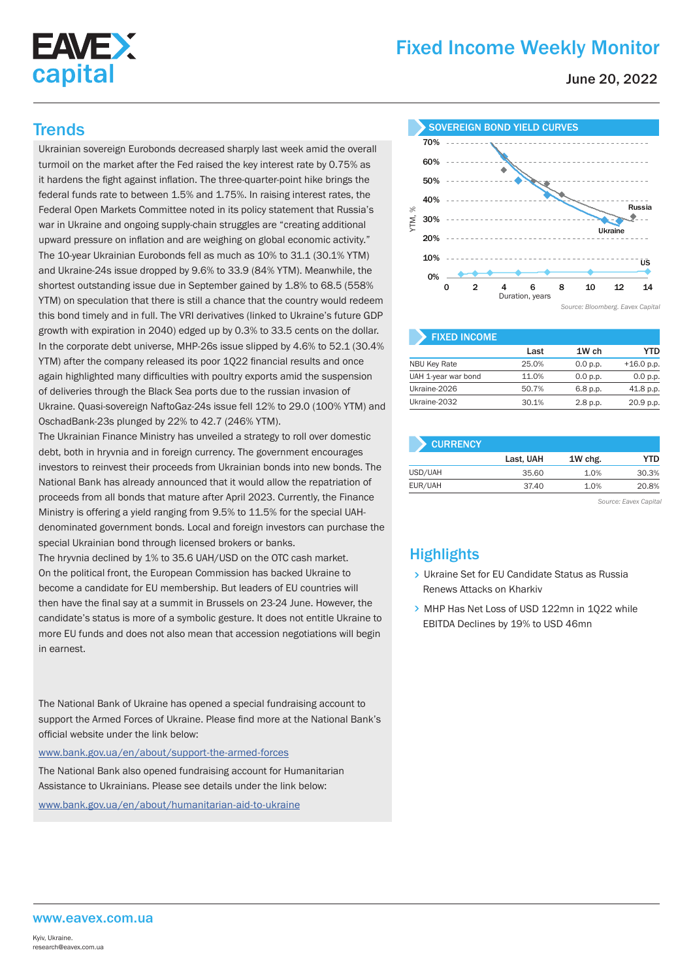

# Fixed Income Weekly Monitor

June 20, 2022

Ukrainian sovereign Eurobonds decreased sharply last week amid the overall turmoil on the market after the Fed raised the key interest rate by 0.75% as it hardens the fight against inflation. The three-quarter-point hike brings the federal funds rate to between 1.5% and 1.75%. In raising interest rates, the Federal Open Markets Committee noted in its policy statement that Russia's war in Ukraine and ongoing supply-chain struggles are "creating additional upward pressure on inflation and are weighing on global economic activity." The 10-year Ukrainian Eurobonds fell as much as 10% to 31.1 (30.1% YTM) and Ukraine-24s issue dropped by 9.6% to 33.9 (84% YTM). Meanwhile, the shortest outstanding issue due in September gained by 1.8% to 68.5 (558% YTM) on speculation that there is still a chance that the country would redeem this bond timely and in full. The VRI derivatives (linked to Ukraine's future GDP growth with expiration in 2040) edged up by 0.3% to 33.5 cents on the dollar. In the corporate debt universe, MHP-26s issue slipped by 4.6% to 52.1 (30.4% YTM) after the company released its poor 1Q22 financial results and once again highlighted many difficulties with poultry exports amid the suspension of deliveries through the Black Sea ports due to the russian invasion of Ukraine. Quasi-sovereign NaftoGaz-24s issue fell 12% to 29.0 (100% YTM) and OschadBank-23s plunged by 22% to 42.7 (246% YTM).

The Ukrainian Finance Ministry has unveiled a strategy to roll over domestic debt, both in hryvnia and in foreign currency. The government encourages investors to reinvest their proceeds from Ukrainian bonds into new bonds. The National Bank has already announced that it would allow the repatriation of proceeds from all bonds that mature after April 2023. Currently, the Finance Ministry is offering a yield ranging from 9.5% to 11.5% for the special UAHdenominated government bonds. Local and foreign investors can purchase the special Ukrainian bond through licensed brokers or banks.

The hryvnia declined by 1% to 35.6 UAH/USD on the OTC cash market. On the political front, the European Commission has backed Ukraine to become a candidate for EU membership. But leaders of EU countries will then have the final say at a summit in Brussels on 23-24 June. However, the candidate's status is more of a symbolic gesture. It does not entitle Ukraine to more EU funds and does not also mean that accession negotiations will begin in earnest.

The National Bank of Ukraine has opened a special fundraising account to support the Armed Forces of Ukraine. Please find more at the National Bank's official website under the link below:

www.bank.gov.ua/en/about/support-the-armed-forces

The National Bank also opened fundraising account for Humanitarian Assistance to Ukrainians. Please see details under the link below:

www.bank.gov.ua/en/about/humanitarian-aid-to-ukraine



| <b>FIXED INCOME</b> |       |          |              |
|---------------------|-------|----------|--------------|
|                     | Last  | 1W ch    | YTD          |
| <b>NBU Key Rate</b> | 25.0% | 0.0 p.p. | $+16.0$ p.p. |
| UAH 1-year war bond | 11.0% | 0.0 p.p. | 0.0 p.p.     |
| Ukraine-2026        | 50.7% | 6.8 p.p. | 41.8 p.p.    |
| Ukraine-2032        | 30.1% | 2.8 p.p. | 20.9 p.p.    |

| <b>CURRENCY</b> |           |         |       |  |  |  |
|-----------------|-----------|---------|-------|--|--|--|
|                 | Last, UAH | 1W chg. | YTD   |  |  |  |
| USD/UAH         | 35.60     | 1.0%    | 30.3% |  |  |  |
| EUR/UAH         | 37.40     | 1.0%    | 20.8% |  |  |  |

*Source: Eavex Capital*

## **Highlights**

- > Ukraine Set for EU Candidate Status as Russia Renews Attacks on Kharkiv
- > MHP Has Net Loss of USD 122mn in 1022 while EBITDA Declines by 19% to USD 46mn

#### www.eavex.com.ua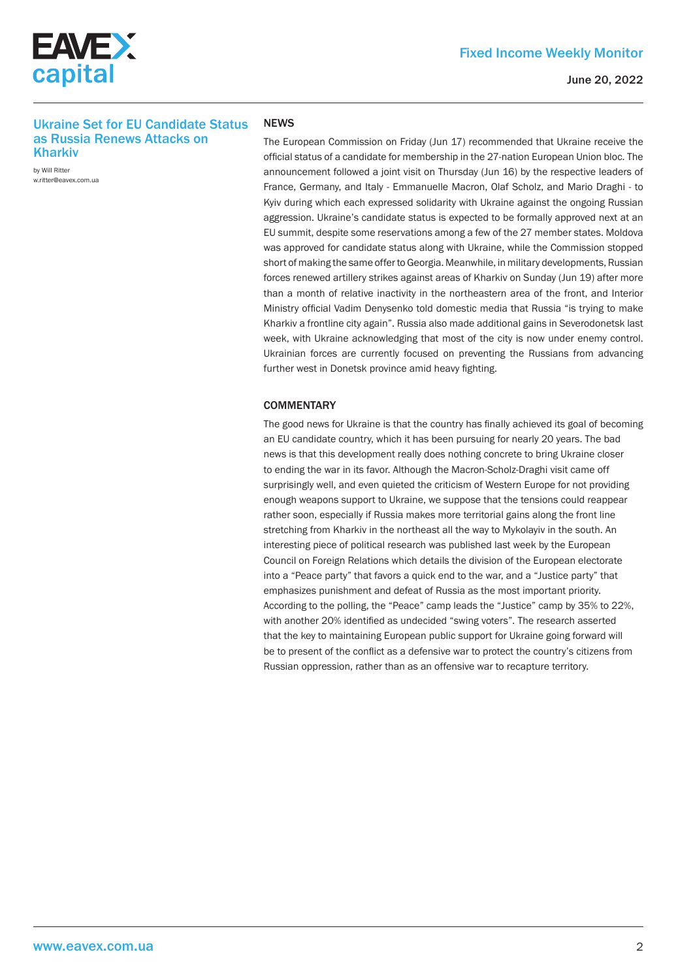

## Fixed Income Weekly Monitor

June 20, 2022

### Ukraine Set for EU Candidate Status as Russia Renews Attacks on Kharkiv

by Will Ritter w.ritter@eavex.com.ua

#### **NEWS**

The European Commission on Friday (Jun 17) recommended that Ukraine receive the official status of a candidate for membership in the 27-nation European Union bloc. The announcement followed a joint visit on Thursday (Jun 16) by the respective leaders of France, Germany, and Italy - Emmanuelle Macron, Olaf Scholz, and Mario Draghi - to Kyiv during which each expressed solidarity with Ukraine against the ongoing Russian aggression. Ukraine's candidate status is expected to be formally approved next at an EU summit, despite some reservations among a few of the 27 member states. Moldova was approved for candidate status along with Ukraine, while the Commission stopped short of making the same offer to Georgia. Meanwhile, in military developments, Russian forces renewed artillery strikes against areas of Kharkiv on Sunday (Jun 19) after more than a month of relative inactivity in the northeastern area of the front, and Interior Ministry official Vadim Denysenko told domestic media that Russia "is trying to make Kharkiv a frontline city again". Russia also made additional gains in Severodonetsk last week, with Ukraine acknowledging that most of the city is now under enemy control. Ukrainian forces are currently focused on preventing the Russians from advancing further west in Donetsk province amid heavy fighting.

#### **COMMENTARY**

The good news for Ukraine is that the country has finally achieved its goal of becoming an EU candidate country, which it has been pursuing for nearly 20 years. The bad news is that this development really does nothing concrete to bring Ukraine closer to ending the war in its favor. Although the Macron-Scholz-Draghi visit came off surprisingly well, and even quieted the criticism of Western Europe for not providing enough weapons support to Ukraine, we suppose that the tensions could reappear rather soon, especially if Russia makes more territorial gains along the front line stretching from Kharkiv in the northeast all the way to Mykolayiv in the south. An interesting piece of political research was published last week by the European Council on Foreign Relations which details the division of the European electorate into a "Peace party" that favors a quick end to the war, and a "Justice party" that emphasizes punishment and defeat of Russia as the most important priority. According to the polling, the "Peace" camp leads the "Justice" camp by 35% to 22%, with another 20% identified as undecided "swing voters". The research asserted that the key to maintaining European public support for Ukraine going forward will be to present of the conflict as a defensive war to protect the country's citizens from Russian oppression, rather than as an offensive war to recapture territory.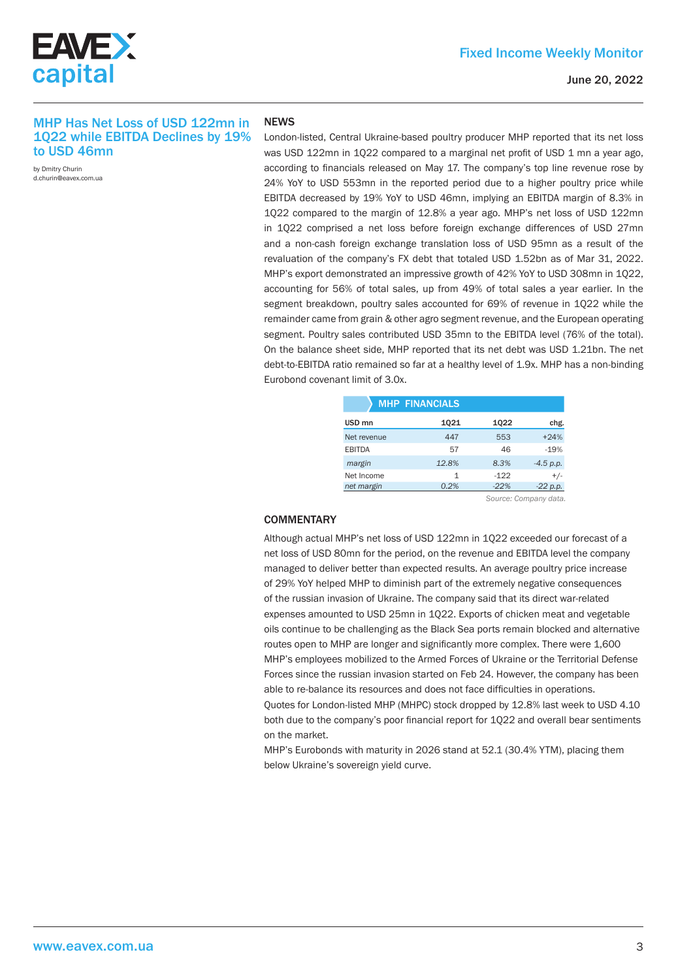

#### MHP Has Net Loss of USD 122mn in 1Q22 while EBITDA Declines by 19% to USD 46mn

by Dmitry Churin d.churin@eavex.com.ua

#### **NEWS**

London-listed, Central Ukraine-based poultry producer MHP reported that its net loss was USD 122mn in 1022 compared to a marginal net profit of USD 1 mn a year ago, according to financials released on May 17. The company's top line revenue rose by 24% YoY to USD 553mn in the reported period due to a higher poultry price while EBITDA decreased by 19% YoY to USD 46mn, implying an EBITDA margin of 8.3% in 1Q22 compared to the margin of 12.8% a year ago. MHP's net loss of USD 122mn in 1Q22 comprised a net loss before foreign exchange differences of USD 27mn and a non-cash foreign exchange translation loss of USD 95mn as a result of the revaluation of the company's FX debt that totaled USD 1.52bn as of Mar 31, 2022. MHP's export demonstrated an impressive growth of 42% YoY to USD 308mn in 1Q22, accounting for 56% of total sales, up from 49% of total sales a year earlier. In the segment breakdown, poultry sales accounted for 69% of revenue in 1Q22 while the remainder came from grain & other agro segment revenue, and the European operating segment. Poultry sales contributed USD 35mn to the EBITDA level (76% of the total). On the balance sheet side, MHP reported that its net debt was USD 1.21bn. The net debt-to-EBITDA ratio remained so far at a healthy level of 1.9x. MHP has a non-binding Eurobond covenant limit of 3.0x.

|                   | <b>MHP FINANCIALS</b> |        |             |
|-------------------|-----------------------|--------|-------------|
| USD <sub>mn</sub> | 1021                  | 1022   | chg.        |
| Net revenue       | 447                   | 553    | $+24%$      |
| <b>EBITDA</b>     | 57                    | 46     | $-19%$      |
| margin            | 12.8%                 | 8.3%   | $-4.5 p.p.$ |
| Net Income        | 1                     | $-122$ | $+/-$       |
| net margin        | 0.2%                  | $-22%$ | $-22$ p.p.  |
|                   |                       |        |             |

 *Source: Company data.*

#### **COMMENTARY**

Although actual MHP's net loss of USD 122mn in 1Q22 exceeded our forecast of a net loss of USD 80mn for the period, on the revenue and EBITDA level the company managed to deliver better than expected results. An average poultry price increase of 29% YoY helped MHP to diminish part of the extremely negative consequences of the russian invasion of Ukraine. The company said that its direct war-related expenses amounted to USD 25mn in 1Q22. Exports of chicken meat and vegetable oils continue to be challenging as the Black Sea ports remain blocked and alternative routes open to MHP are longer and significantly more complex. There were 1,600 MHP's employees mobilized to the Armed Forces of Ukraine or the Territorial Defense Forces since the russian invasion started on Feb 24. However, the company has been able to re-balance its resources and does not face difficulties in operations. Quotes for London-listed MHP (MHPC) stock dropped by 12.8% last week to USD 4.10 both due to the company's poor financial report for 1Q22 and overall bear sentiments on the market.

MHP's Eurobonds with maturity in 2026 stand at 52.1 (30.4% YTM), placing them below Ukraine's sovereign yield curve.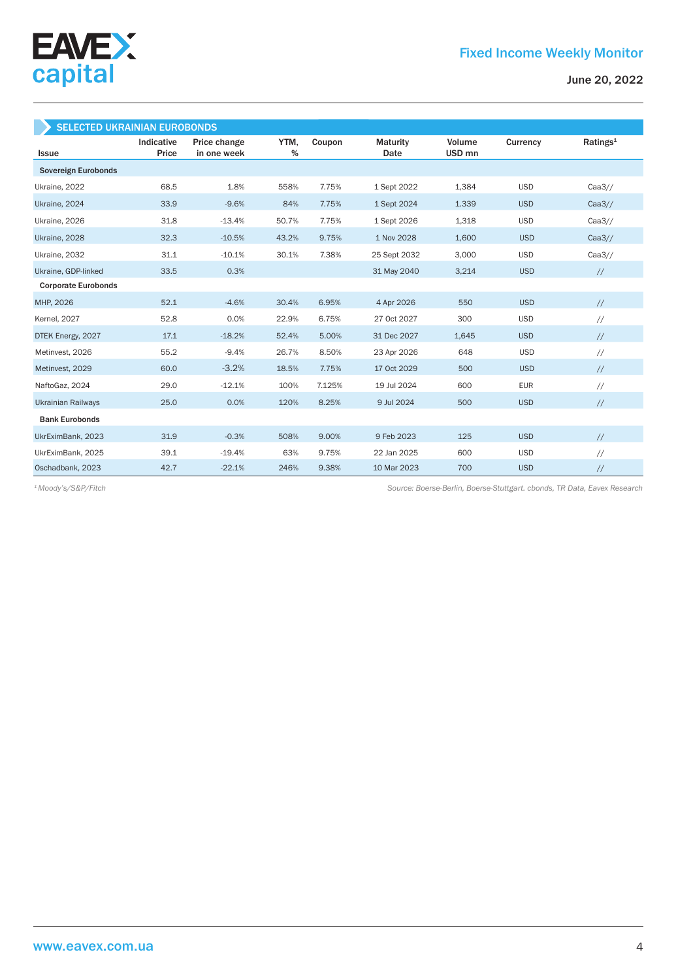

| <b>SELECTED UKRAINIAN EUROBONDS</b> |                     |                             |              |        |                  |                             |            |                      |
|-------------------------------------|---------------------|-----------------------------|--------------|--------|------------------|-----------------------------|------------|----------------------|
| <b>Issue</b>                        | Indicative<br>Price | Price change<br>in one week | YTM,<br>$\%$ | Coupon | Maturity<br>Date | Volume<br>USD <sub>mn</sub> | Currency   | Ratings <sup>1</sup> |
| Sovereign Eurobonds                 |                     |                             |              |        |                  |                             |            |                      |
| Ukraine, 2022                       | 68.5                | 1.8%                        | 558%         | 7.75%  | 1 Sept 2022      | 1,384                       | <b>USD</b> | Caa3/                |
| Ukraine, 2024                       | 33.9                | $-9.6%$                     | 84%          | 7.75%  | 1 Sept 2024      | 1.339                       | <b>USD</b> | Caa3/                |
| Ukraine, 2026                       | 31.8                | $-13.4%$                    | 50.7%        | 7.75%  | 1 Sept 2026      | 1,318                       | <b>USD</b> | Caa3/                |
| Ukraine, 2028                       | 32.3                | $-10.5%$                    | 43.2%        | 9.75%  | 1 Nov 2028       | 1,600                       | <b>USD</b> | Caa3/                |
| Ukraine, 2032                       | 31.1                | $-10.1%$                    | 30.1%        | 7.38%  | 25 Sept 2032     | 3,000                       | <b>USD</b> | Caa3/                |
| Ukraine, GDP-linked                 | 33.5                | 0.3%                        |              |        | 31 May 2040      | 3,214                       | <b>USD</b> | $\frac{1}{2}$        |
| <b>Corporate Eurobonds</b>          |                     |                             |              |        |                  |                             |            |                      |
| MHP, 2026                           | 52.1                | $-4.6%$                     | 30.4%        | 6.95%  | 4 Apr 2026       | 550                         | <b>USD</b> | $\frac{1}{2}$        |
| <b>Kernel</b> , 2027                | 52.8                | 0.0%                        | 22.9%        | 6.75%  | 27 Oct 2027      | 300                         | <b>USD</b> | $\frac{1}{2}$        |
| DTEK Energy, 2027                   | 17.1                | $-18.2%$                    | 52.4%        | 5.00%  | 31 Dec 2027      | 1,645                       | <b>USD</b> | $\frac{1}{2}$        |
| Metinvest, 2026                     | 55.2                | $-9.4%$                     | 26.7%        | 8.50%  | 23 Apr 2026      | 648                         | <b>USD</b> | $\frac{1}{2}$        |
| Metinvest, 2029                     | 60.0                | $-3.2%$                     | 18.5%        | 7.75%  | 17 Oct 2029      | 500                         | <b>USD</b> | $\frac{1}{2}$        |
| NaftoGaz, 2024                      | 29.0                | $-12.1%$                    | 100%         | 7.125% | 19 Jul 2024      | 600                         | <b>EUR</b> | $\frac{1}{2}$        |
| <b>Ukrainian Railways</b>           | 25.0                | 0.0%                        | 120%         | 8.25%  | 9 Jul 2024       | 500                         | <b>USD</b> | $\frac{1}{2}$        |
| <b>Bank Eurobonds</b>               |                     |                             |              |        |                  |                             |            |                      |
| UkrEximBank, 2023                   | 31.9                | $-0.3%$                     | 508%         | 9.00%  | 9 Feb 2023       | 125                         | <b>USD</b> | $\frac{1}{2}$        |
| UkrEximBank, 2025                   | 39.1                | $-19.4%$                    | 63%          | 9.75%  | 22 Jan 2025      | 600                         | <b>USD</b> | $\frac{1}{2}$        |
| Oschadbank, 2023                    | 42.7                | $-22.1%$                    | 246%         | 9.38%  | 10 Mar 2023      | 700                         | <b>USD</b> | $\sqrt{}$            |

*Source: Boerse-Berlin, Boerse-Stuttgart. cbonds, TR Data, Eavex Research 1 Moody's/S&P/Fitch*